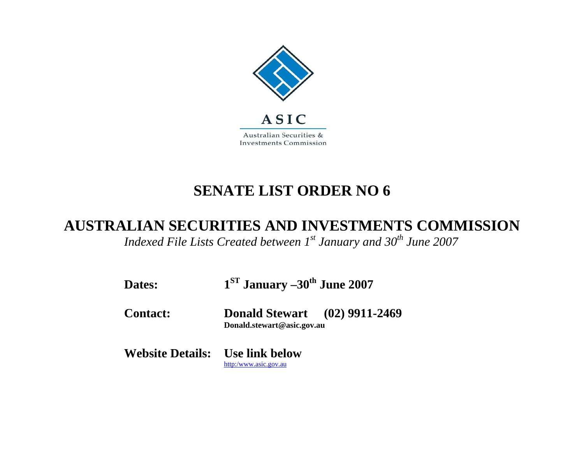

## **SENATE LIST ORDER NO 6**

## **AUSTRALIAN SECURITIES AND INVESTMENTS COMMISSION**

*Indexed File Lists Created between 1st January and 30<sup>th</sup> June 2007* 

| <b>Dates:</b>                          | $1ST$ January $-30th$ June 2007                                    |  |
|----------------------------------------|--------------------------------------------------------------------|--|
| <b>Contact:</b>                        | <b>Donald Stewart</b> (02) 9911-2469<br>Donald.stewart@asic.gov.au |  |
| <b>Website Details:</b> Use link below | http:/www.asic.gov.au                                              |  |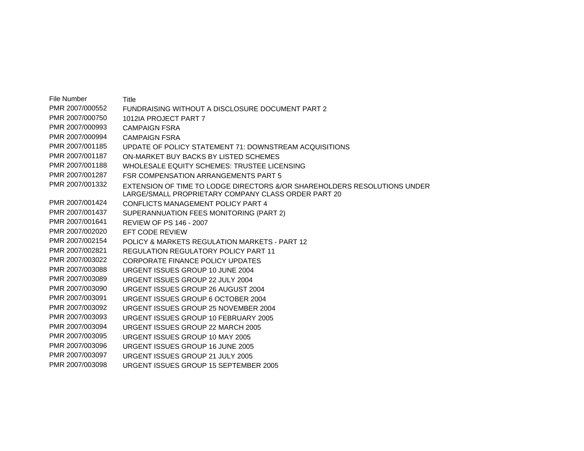File Number Title PMR 2007/000552 FUNDRAISING WITHOUT A DISCLOSURE DOCUMENT PART 2 PMR 2007/000750 1012IA PROJECT PART 7 PMR 2007/000993 CAMPAIGN FSRA PMR 2007/000994 CAMPAIGN FSRA PMR 2007/001185 UPDATE OF POLICY STATEMENT 71: DOWNSTREAM ACQUISITIONS PMR 2007/001187 ON-MARKET BUY BACKS BY LISTED SCHEMES PMR 2007/001188 WHOLESALE EQUITY SCHEMES: TRUSTEE LICENSING PMR 2007/001287 FSR COMPENSATION ARRANGEMENTS PART 5 PMR 2007/001332 EXTENSION OF TIME TO LODGE DIRECTORS &/OR SHAREHOLDERS RESOLUTIONS UNDER LARGE/SMALL PROPRIETARY COMPANY CLASS ORDER PART 20 PMR 2007/001424 CONFLICTS MANAGEMENT POLICY PART 4 PMR 2007/001437 SUPERANNUATION FEES MONITORING (PART 2) PMR 2007/001641 REVIEW OF PS 146 - 2007 PMR 2007/002020 EFT CODE REVIEW PMR 2007/002154 POLICY & MARKETS REGULATION MARKETS - PART 12 PMR 2007/002821 REGULATION REGULATORY POLICY PART 11 PMR 2007/003022 CORPORATE FINANCE POLICY UPDATES PMR 2007/003088 URGENT ISSUES GROUP 10 JUNE 2004 PMR 2007/003089 URGENT ISSUES GROUP 22 JULY 2004 PMR 2007/003090 URGENT ISSUES GROUP 26 AUGUST 2004 PMR 2007/003091 URGENT ISSUES GROUP 6 OCTOBER 2004 PMR 2007/003092 URGENT ISSUES GROUP 25 NOVEMBER 2004 PMR 2007/003093 URGENT ISSUES GROUP 10 FEBRUARY 2005 PMR 2007/003094 URGENT ISSUES GROUP 22 MARCH 2005 PMR 2007/003095 URGENT ISSUES GROUP 10 MAY 2005 PMR 2007/003096 URGENT ISSUES GROUP 16 JUNE 2005 PMR 2007/003097 URGENT ISSUES GROUP 21 JULY 2005 PMR 2007/003098 URGENT ISSUES GROUP 15 SEPTEMBER 2005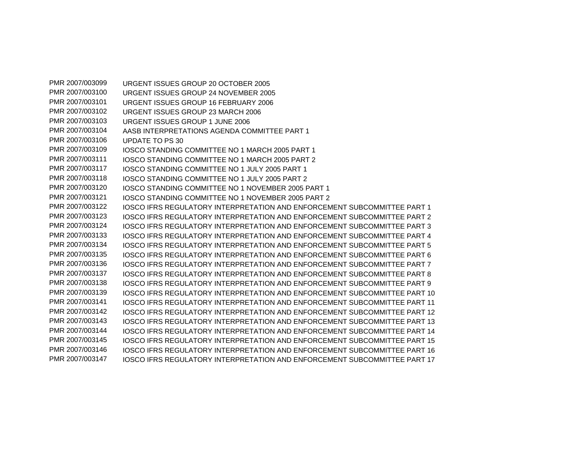PMR 2007/003099 URGENT ISSUES GROUP 20 OCTOBER 2005 PMR 2007/003100 URGENT ISSUES GROUP 24 NOVEMBER 2005 PMR 2007/003101 URGENT ISSUES GROUP 16 FEBRUARY 2006 PMR 2007/003102 URGENT ISSUES GROUP 23 MARCH 2006 PMR 2007/003103 URGENT ISSUES GROUP 1 JUNE 2006 PMR 2007/003104 AASB INTERPRETATIONS AGENDA COMMITTEE PART 1 PMR 2007/003106 UPDATE TO PS 30 PMR 2007/003109 IOSCO STANDING COMMITTEE NO 1 MARCH 2005 PART 1 PMR 2007/003111 IOSCO STANDING COMMITTEE NO 1 MARCH 2005 PART 2 PMR 2007/003117 **IOSCO STANDING COMMITTEE NO 1 JULY 2005 PART 1** PMR 2007/003118 IOSCO STANDING COMMITTEE NO 1 JULY 2005 PART 2 PMR 2007/003120 IOSCO STANDING COMMITTEE NO 1 NOVEMBER 2005 PART 1 PMR 2007/003121 IOSCO STANDING COMMITTEE NO 1 NOVEMBER 2005 PART 2 PMR 2007/003122 IOSCO IFRS REGULATORY INTERPRETATION AND ENFORCEMENT SUBCOMMITTEE PART 1 PMR 2007/003123 IOSCO IFRS REGULATORY INTERPRETATION AND ENFORCEMENT SUBCOMMITTEE PART 2 PMR 2007/003124 IOSCO IFRS REGULATORY INTERPRETATION AND ENFORCEMENT SUBCOMMITTEE PART 3 PMR 2007/003133 IOSCO IFRS REGULATORY INTERPRETATION AND ENFORCEMENT SUBCOMMITTEE PART 4 PMR 2007/003134 IOSCO IFRS REGULATORY INTERPRETATION AND ENFORCEMENT SUBCOMMITTEE PART 5 PMR 2007/003135 IOSCO IFRS REGULATORY INTERPRETATION AND ENFORCEMENT SUBCOMMITTEE PART 6 PMR 2007/003136 IOSCO IFRS REGULATORY INTERPRETATION AND ENFORCEMENT SUBCOMMITTEE PART 7 PMR 2007/003137 IOSCO IFRS REGULATORY INTERPRETATION AND ENFORCEMENT SUBCOMMITTEE PART 8 PMR 2007/003138 IOSCO IFRS REGULATORY INTERPRETATION AND ENFORCEMENT SUBCOMMITTEE PART 9 PMR 2007/003139 IOSCO IFRS REGULATORY INTERPRETATION AND ENFORCEMENT SUBCOMMITTEE PART 10 PMR 2007/003141 IOSCO IFRS REGULATORY INTERPRETATION AND ENFORCEMENT SUBCOMMITTEE PART 11 PMR 2007/003142 IOSCO IFRS REGULATORY INTERPRETATION AND ENFORCEMENT SUBCOMMITTEE PART 12 PMR 2007/003143 IOSCO IFRS REGULATORY INTERPRETATION AND ENFORCEMENT SUBCOMMITTEE PART 13 PMR 2007/003144 IOSCO IFRS REGULATORY INTERPRETATION AND ENFORCEMENT SUBCOMMITTEE PART 14 PMR 2007/003145 IOSCO IFRS REGULATORY INTERPRETATION AND ENFORCEMENT SUBCOMMITTEE PART 15 PMR 2007/003146 IOSCO IFRS REGULATORY INTERPRETATION AND ENFORCEMENT SUBCOMMITTEE PART 16 PMR 2007/003147 IOSCO IFRS REGULATORY INTERPRETATION AND ENFORCEMENT SUBCOMMITTEE PART 17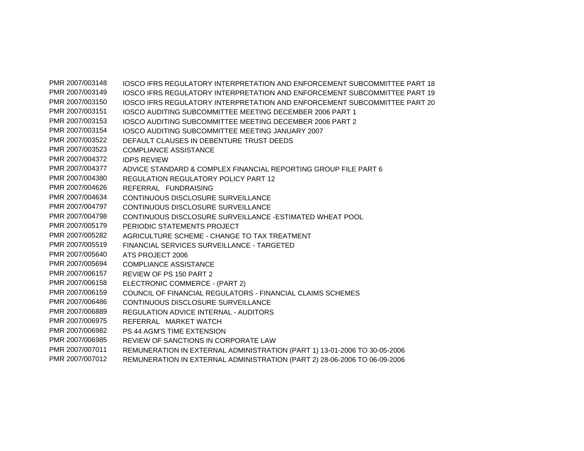PMR 2007/003148 IOSCO IFRS REGULATORY INTERPRETATION AND ENFORCEMENT SUBCOMMITTEE PART 18 PMR 2007/003149 IOSCO IFRS REGULATORY INTERPRETATION AND ENFORCEMENT SUBCOMMITTEE PART 19 PMR 2007/003150 IOSCO IFRS REGULATORY INTERPRETATION AND ENFORCEMENT SUBCOMMITTEE PART 20 PMR 2007/003151 IOSCO AUDITING SUBCOMMITTEE MEETING DECEMBER 2006 PART 1 PMR 2007/003153 IOSCO AUDITING SUBCOMMITTEE MEETING DECEMBER 2006 PART 2 PMR 2007/003154 IOSCO AUDITING SUBCOMMITTEE MEETING JANUARY 2007 PMR 2007/003522 DEFAULT CLAUSES IN DEBENTURE TRUST DEEDS PMR 2007/003523 COMPLIANCE ASSISTANCE PMR 2007/004372 IDPS REVIEW PMR 2007/004377 ADVICE STANDARD & COMPLEX FINANCIAL REPORTING GROUP FILE PART 6 PMR 2007/004380 REGULATION REGULATORY POLICY PART 12 PMR 2007/004626 REFERRAL FUNDRAISING PMR 2007/004634 CONTINUOUS DISCLOSURE SURVEILLANCE PMR 2007/004797 CONTINUOUS DISCLOSURE SURVEILLANCE PMR 2007/004798 CONTINUOUS DISCLOSURE SURVEILLANCE -ESTIMATED WHEAT POOL PMR 2007/005179 PERIODIC STATEMENTS PROJECT PMR 2007/005282 AGRICULTURE SCHEME - CHANGE TO TAX TREATMENT PMR 2007/005519 FINANCIAL SERVICES SURVEILLANCE - TARGETED PMR 2007/005640 ATS PROJECT 2006 PMR 2007/005694 COMPLIANCE ASSISTANCE PMR 2007/006157 REVIEW OF PS 150 PART 2 PMR 2007/006158 ELECTRONIC COMMERCE - (PART 2) PMR 2007/006159 COUNCIL OF FINANCIAL REGULATORS - FINANCIAL CLAIMS SCHEMES PMR 2007/006486 CONTINUOUS DISCLOSURE SURVEILLANCE PMR 2007/006889 REGULATION ADVICE INTERNAL - AUDITORS PMR 2007/006975 REFERRAL MARKET WATCH PMR 2007/006982 PS 44 AGM'S TIME EXTENSION PMR 2007/006985 REVIEW OF SANCTIONS IN CORPORATE LAW PMR 2007/007011 REMUNERATION IN EXTERNAL ADMINISTRATION (PART 1) 13-01-2006 TO 30-05-2006 PMR 2007/007012 REMUNERATION IN EXTERNAL ADMINISTRATION (PART 2) 28-06-2006 TO 06-09-2006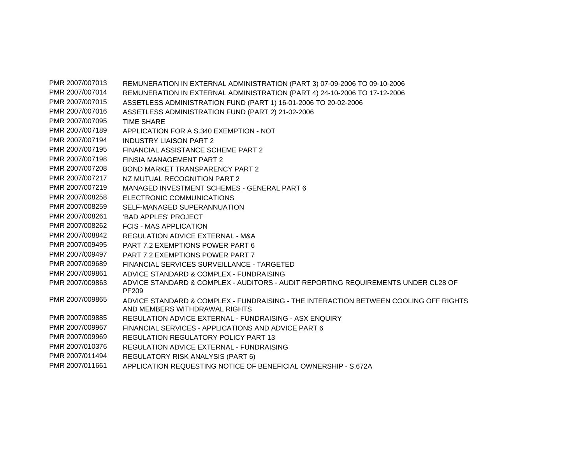PMR 2007/007013 REMUNERATION IN EXTERNAL ADMINISTRATION (PART 3) 07-09-2006 TO 09-10-2006 PMR 2007/007014 REMUNERATION IN EXTERNAL ADMINISTRATION (PART 4) 24-10-2006 TO 17-12-2006 PMR 2007/007015 ASSETLESS ADMINISTRATION FUND (PART 1) 16-01-2006 TO 20-02-2006 PMR 2007/007016 ASSETLESS ADMINISTRATION FUND (PART 2) 21-02-2006 PMR 2007/007095 TIME SHARE PMR 2007/007189 APPLICATION FOR A S.340 EXEMPTION - NOT PMR 2007/007194 INDUSTRY LIAISON PART 2 PMR 2007/007195 FINANCIAL ASSISTANCE SCHEME PART 2 PMR 2007/007198 FINSIA MANAGEMENT PART 2 PMR 2007/007208 BOND MARKET TRANSPARENCY PART 2 PMR 2007/007217 NZ MUTUAL RECOGNITION PART 2 PMR 2007/007219 MANAGED INVESTMENT SCHEMES - GENERAL PART 6 PMR 2007/008258 ELECTRONIC COMMUNICATIONS PMR 2007/008259 SELF-MANAGED SUPERANNUATION PMR 2007/008261 'BAD APPLES' PROJECT PMR 2007/008262 FCIS - MAS APPLICATION PMR 2007/008842 REGULATION ADVICE EXTERNAL - M&A PMR 2007/009495 PART 7.2 EXEMPTIONS POWER PART 6 PMR 2007/009497 PART 7.2 EXEMPTIONS POWER PART 7 PMR 2007/009689 FINANCIAL SERVICES SURVEILLANCE - TARGETED PMR 2007/009861 ADVICE STANDARD & COMPLEX - FUNDRAISING PMR 2007/009863 ADVICE STANDARD & COMPLEX - AUDITORS - AUDIT REPORTING REQUIREMENTS UNDER CL28 OF PF209 PMR 2007/009865 ADVICE STANDARD & COMPLEX - FUNDRAISING - THE INTERACTION BETWEEN COOLING OFF RIGHTS AND MEMBERS WITHDRAWAL RIGHTS PMR 2007/009885 REGULATION ADVICE EXTERNAL - FUNDRAISING - ASX ENQUIRY PMR 2007/009967 FINANCIAL SERVICES - APPLICATIONS AND ADVICE PART 6 PMR 2007/009969 REGULATION REGULATORY POLICY PART 13 PMR 2007/010376 REGULATION ADVICE EXTERNAL - FUNDRAISING PMR 2007/011494 REGULATORY RISK ANALYSIS (PART 6) PMR 2007/011661 APPLICATION REQUESTING NOTICE OF BENEFICIAL OWNERSHIP - S.672A